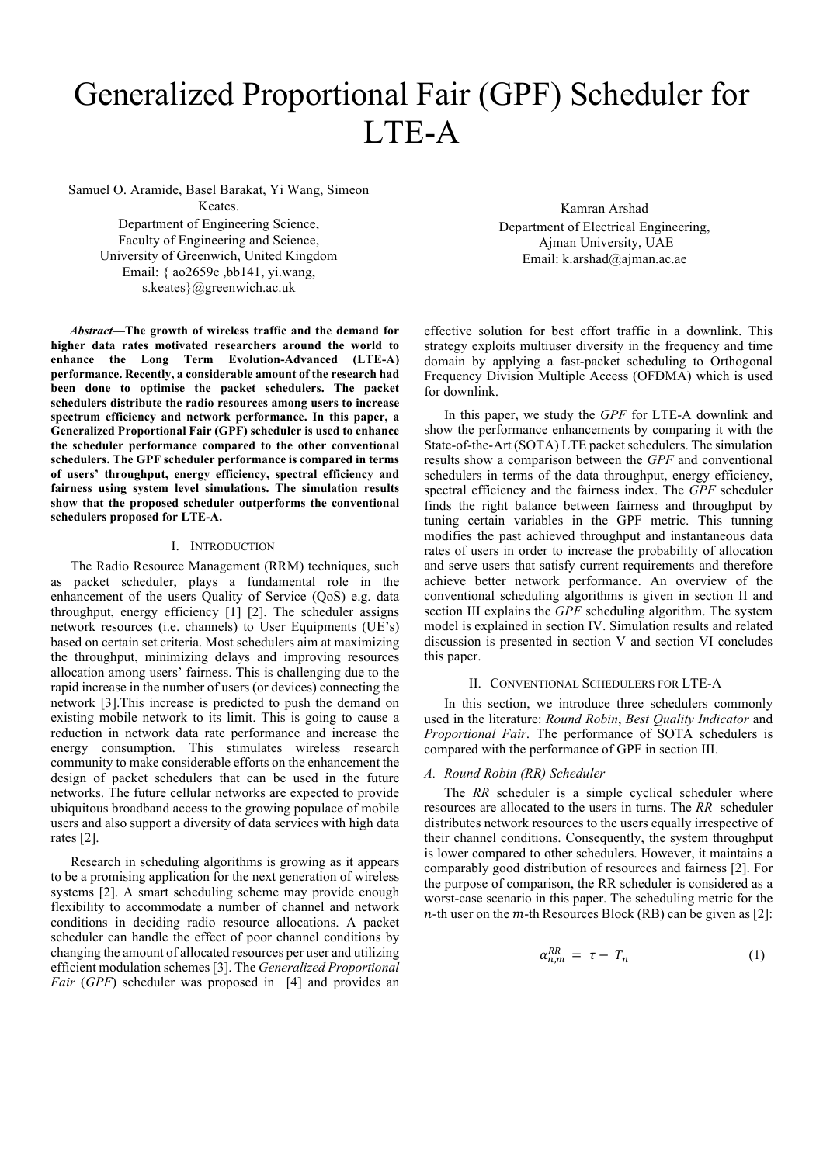# Generalized Proportional Fair (GPF) Scheduler for LTE-A

Samuel O. Aramide, Basel Barakat, Yi Wang, Simeon Keates.

Department of Engineering Science, Faculty of Engineering and Science, University of Greenwich, United Kingdom Email: { ao2659e ,bb141, yi.wang,

s.keates}@greenwich.ac.uk

*Abstract***—The growth of wireless traffic and the demand for higher data rates motivated researchers around the world to enhance the Long Term Evolution-Advanced (LTE-A) performance. Recently, a considerable amount of the research had been done to optimise the packet schedulers. The packet schedulers distribute the radio resources among users to increase spectrum efficiency and network performance. In this paper, a Generalized Proportional Fair (GPF) scheduler is used to enhance the scheduler performance compared to the other conventional schedulers. The GPF scheduler performance is compared in terms of users' throughput, energy efficiency, spectral efficiency and fairness using system level simulations. The simulation results show that the proposed scheduler outperforms the conventional schedulers proposed for LTE-A.**

## I. INTRODUCTION

The Radio Resource Management (RRM) techniques, such as packet scheduler, plays a fundamental role in the enhancement of the users Quality of Service (QoS) e.g. data throughput, energy efficiency [1] [2]. The scheduler assigns network resources (i.e. channels) to User Equipments (UE's) based on certain set criteria. Most schedulers aim at maximizing the throughput, minimizing delays and improving resources allocation among users' fairness. This is challenging due to the rapid increase in the number of users (or devices) connecting the network [3].This increase is predicted to push the demand on existing mobile network to its limit. This is going to cause a reduction in network data rate performance and increase the energy consumption. This stimulates wireless research community to make considerable efforts on the enhancement the design of packet schedulers that can be used in the future networks. The future cellular networks are expected to provide ubiquitous broadband access to the growing populace of mobile users and also support a diversity of data services with high data rates [2].

Research in scheduling algorithms is growing as it appears to be a promising application for the next generation of wireless systems [2]. A smart scheduling scheme may provide enough flexibility to accommodate a number of channel and network conditions in deciding radio resource allocations. A packet scheduler can handle the effect of poor channel conditions by changing the amount of allocated resources per user and utilizing efficient modulation schemes [3]. The *Generalized Proportional Fair* (*GPF*) scheduler was proposed in [4] and provides an

Kamran Arshad Department of Electrical Engineering, Ajman University, UAE Email: k.arshad@ajman.ac.ae

effective solution for best effort traffic in a downlink. This strategy exploits multiuser diversity in the frequency and time domain by applying a fast-packet scheduling to Orthogonal Frequency Division Multiple Access (OFDMA) which is used for downlink.

In this paper, we study the *GPF* for LTE-A downlink and show the performance enhancements by comparing it with the State-of-the-Art (SOTA) LTE packet schedulers. The simulation results show a comparison between the *GPF* and conventional schedulers in terms of the data throughput, energy efficiency, spectral efficiency and the fairness index. The *GPF* scheduler finds the right balance between fairness and throughput by tuning certain variables in the GPF metric. This tunning modifies the past achieved throughput and instantaneous data rates of users in order to increase the probability of allocation and serve users that satisfy current requirements and therefore achieve better network performance. An overview of the conventional scheduling algorithms is given in section II and section III explains the *GPF* scheduling algorithm. The system model is explained in section IV. Simulation results and related discussion is presented in section V and section VI concludes this paper.

## II. CONVENTIONAL SCHEDULERS FOR LTE-A

In this section, we introduce three schedulers commonly used in the literature: *Round Robin*, *Best Quality Indicator* and *Proportional Fair*. The performance of SOTA schedulers is compared with the performance of GPF in section III.

## *A. Round Robin (RR) Scheduler*

The *RR* scheduler is a simple cyclical scheduler where resources are allocated to the users in turns. The *RR* scheduler distributes network resources to the users equally irrespective of their channel conditions. Consequently, the system throughput is lower compared to other schedulers. However, it maintains a comparably good distribution of resources and fairness [2]. For the purpose of comparison, the RR scheduler is considered as a worst-case scenario in this paper. The scheduling metric for the  $n$ -th user on the  $m$ -th Resources Block (RB) can be given as [2]:

$$
\alpha_{n,m}^{RR} = \tau - T_n \tag{1}
$$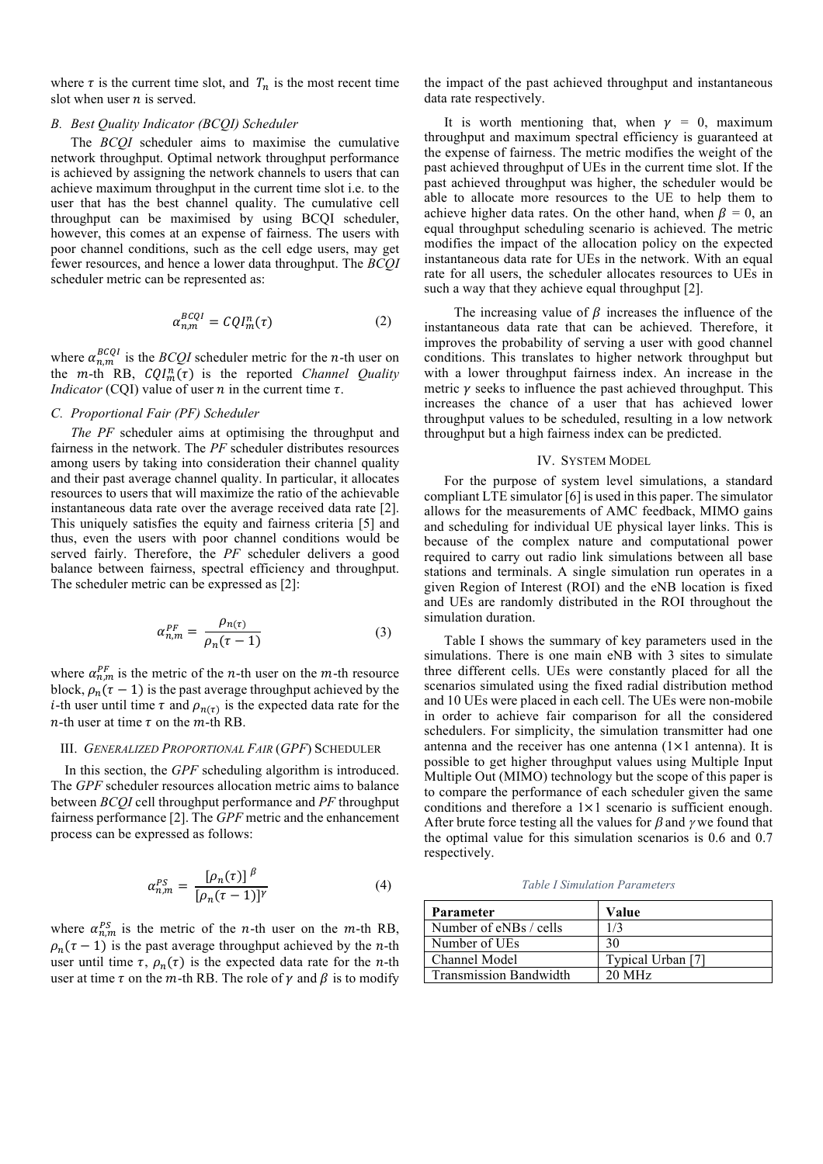where  $\tau$  is the current time slot, and  $T_n$  is the most recent time slot when user  $n$  is served.

## *B. Best Quality Indicator (BCQI) Scheduler*

The *BCQI* scheduler aims to maximise the cumulative network throughput. Optimal network throughput performance is achieved by assigning the network channels to users that can achieve maximum throughput in the current time slot i.e. to the user that has the best channel quality. The cumulative cell throughput can be maximised by using BCQI scheduler, however, this comes at an expense of fairness. The users with poor channel conditions, such as the cell edge users, may get fewer resources, and hence a lower data throughput. The *BCQI* scheduler metric can be represented as:

$$
\alpha_{n,m}^{BCQI} = CQI_m^n(\tau) \tag{2}
$$

where  $\alpha_{n,m}^{BCQI}$  is the *BCQI* scheduler metric for the *n*-th user on the  $m$ -th RB,  $CQI_m^n(\tau)$  is the reported *Channel Quality Indicator* (CQI) value of user  $n$  in the current time  $\tau$ .

# *C. Proportional Fair (PF) Scheduler*

*The PF* scheduler aims at optimising the throughput and fairness in the network. The *PF* scheduler distributes resources among users by taking into consideration their channel quality and their past average channel quality. In particular, it allocates resources to users that will maximize the ratio of the achievable instantaneous data rate over the average received data rate [2]. This uniquely satisfies the equity and fairness criteria [5] and thus, even the users with poor channel conditions would be served fairly. Therefore, the *PF* scheduler delivers a good balance between fairness, spectral efficiency and throughput. The scheduler metric can be expressed as [2]:

$$
\alpha_{n,m}^{PF} = \frac{\rho_{n(\tau)}}{\rho_n(\tau - 1)}\tag{3}
$$

where  $\alpha_{n,m}^{PF}$  is the metric of the *n*-th user on the *m*-th resource block,  $\rho_n(\tau - 1)$  is the past average throughput achieved by the *i*-th user until time  $\tau$  and  $\rho_{n(\tau)}$  is the expected data rate for the *n*-th user at time  $\tau$  on the *m*-th RB.

## III. *GENERALIZED PROPORTIONAL FAIR* (*GPF*) SCHEDULER

In this section, the *GPF* scheduling algorithm is introduced. The *GPF* scheduler resources allocation metric aims to balance between *BCQI* cell throughput performance and *PF* throughput fairness performance [2]. The *GPF* metric and the enhancement process can be expressed as follows:

$$
\alpha_{n,m}^{PS} = \frac{\left[\rho_n(\tau)\right]^{\beta}}{\left[\rho_n(\tau - 1)\right]^{\gamma}}
$$
\n(4)

where  $\alpha_{n,m}^{PS}$  is the metric of the *n*-th user on the *m*-th RB,  $\rho_n(\tau - 1)$  is the past average throughput achieved by the *n*-th user until time  $\tau$ ,  $\rho_n(\tau)$  is the expected data rate for the *n*-th user at time  $\tau$  on the *m*-th RB. The role of  $\gamma$  and  $\beta$  is to modify

the impact of the past achieved throughput and instantaneous data rate respectively.

It is worth mentioning that, when  $\gamma = 0$ , maximum throughput and maximum spectral efficiency is guaranteed at the expense of fairness. The metric modifies the weight of the past achieved throughput of UEs in the current time slot. If the past achieved throughput was higher, the scheduler would be able to allocate more resources to the UE to help them to achieve higher data rates. On the other hand, when  $\beta = 0$ , an equal throughput scheduling scenario is achieved. The metric modifies the impact of the allocation policy on the expected instantaneous data rate for UEs in the network. With an equal rate for all users, the scheduler allocates resources to UEs in such a way that they achieve equal throughput [2].

The increasing value of  $\beta$  increases the influence of the instantaneous data rate that can be achieved. Therefore, it improves the probability of serving a user with good channel conditions. This translates to higher network throughput but with a lower throughput fairness index. An increase in the metric  $\nu$  seeks to influence the past achieved throughput. This increases the chance of a user that has achieved lower throughput values to be scheduled, resulting in a low network throughput but a high fairness index can be predicted.

#### IV. SYSTEM MODEL

For the purpose of system level simulations, a standard compliant LTE simulator [6] is used in this paper. The simulator allows for the measurements of AMC feedback, MIMO gains and scheduling for individual UE physical layer links. This is because of the complex nature and computational power required to carry out radio link simulations between all base stations and terminals. A single simulation run operates in a given Region of Interest (ROI) and the eNB location is fixed and UEs are randomly distributed in the ROI throughout the simulation duration.

Table I shows the summary of key parameters used in the simulations. There is one main eNB with 3 sites to simulate three different cells. UEs were constantly placed for all the scenarios simulated using the fixed radial distribution method and 10 UEs were placed in each cell. The UEs were non-mobile in order to achieve fair comparison for all the considered schedulers. For simplicity, the simulation transmitter had one antenna and the receiver has one antenna  $(1 \times 1)$  antenna). It is possible to get higher throughput values using Multiple Input Multiple Out (MIMO) technology but the scope of this paper is to compare the performance of each scheduler given the same conditions and therefore a 1×1 scenario is sufficient enough. After brute force testing all the values for  $\beta$  and  $\gamma$  we found that the optimal value for this simulation scenarios is 0.6 and 0.7 respectively.

*Table I Simulation Parameters*

| Parameter                     | Value             |
|-------------------------------|-------------------|
| Number of eNBs / cells        | 1/3               |
| Number of UEs                 | 30                |
| Channel Model                 | Typical Urban [7] |
| <b>Transmission Bandwidth</b> | $20 \text{ MHz}$  |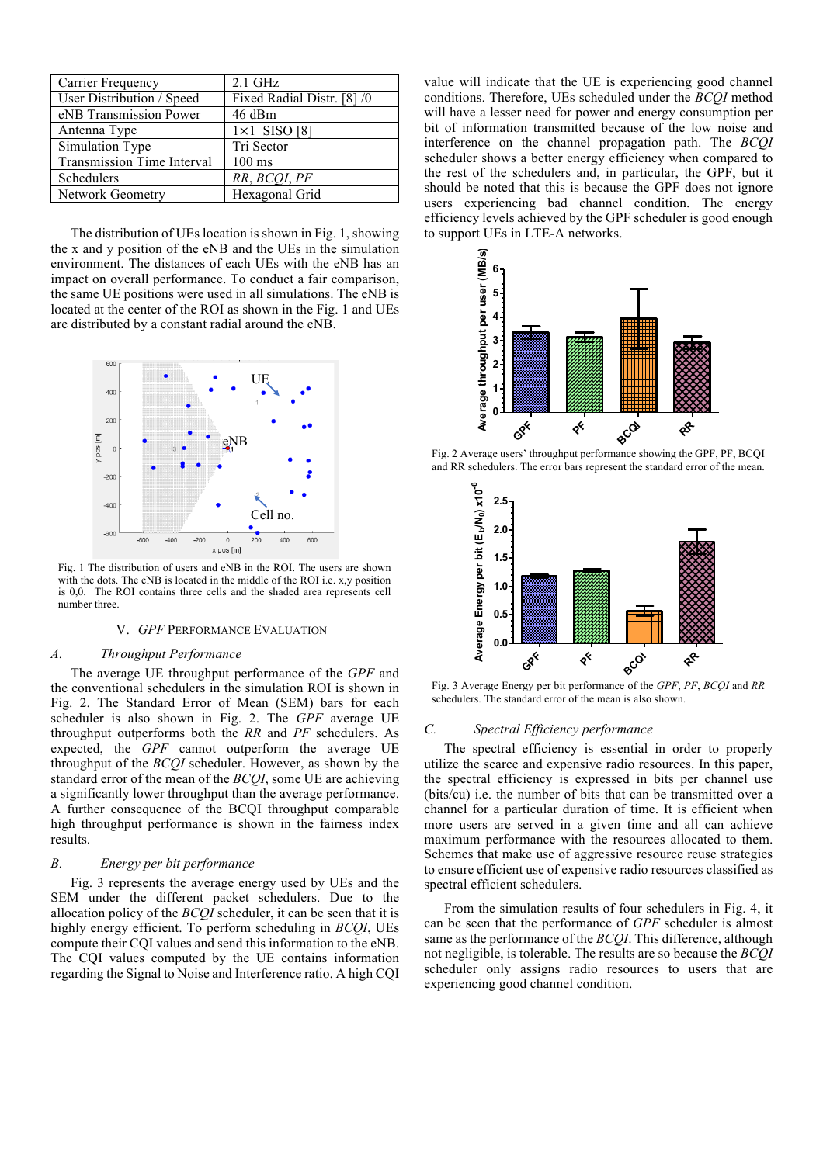| Carrier Frequency          | $2.1$ GHz                  |
|----------------------------|----------------------------|
| User Distribution / Speed  | Fixed Radial Distr. [8] /0 |
| eNB Transmission Power     | 46 dBm                     |
| Antenna Type               | $1\times1$ SISO [8]        |
| Simulation Type            | Tri Sector                 |
| Transmission Time Interval | $100 \text{ ms}$           |
| Schedulers                 | RR, BCOI, PF               |
| <b>Network Geometry</b>    | Hexagonal Grid             |

The distribution of UEs location is shown in Fig. 1, showing the x and y position of the eNB and the UEs in the simulation environment. The distances of each UEs with the eNB has an impact on overall performance. To conduct a fair comparison, the same UE positions were used in all simulations. The eNB is located at the center of the ROI as shown in the Fig. 1 and UEs are distributed by a constant radial around the eNB.



Fig. 1 The distribution of users and eNB in the ROI. The users are shown with the dots. The eNB is located in the middle of the ROI i.e. x,y position is 0,0. The ROI contains three cells and the shaded area represents cell number three.

#### V. *GPF* PERFORMANCE EVALUATION

#### *A. Throughput Performance*

The average UE throughput performance of the *GPF* and the conventional schedulers in the simulation ROI is shown in Fig. 2. The Standard Error of Mean (SEM) bars for each scheduler is also shown in Fig. 2. The *GPF* average UE throughput outperforms both the *RR* and *PF* schedulers. As expected, the *GPF* cannot outperform the average UE throughput of the *BCQI* scheduler. However, as shown by the standard error of the mean of the *BCQI*, some UE are achieving a significantly lower throughput than the average performance. A further consequence of the BCQI throughput comparable high throughput performance is shown in the fairness index results.

#### *B. Energy per bit performance*

Fig. 3 represents the average energy used by UEs and the SEM under the different packet schedulers. Due to the allocation policy of the *BCQI* scheduler, it can be seen that it is highly energy efficient. To perform scheduling in *BCQI*, UEs compute their CQI values and send this information to the eNB. The CQI values computed by the UE contains information regarding the Signal to Noise and Interference ratio. A high CQI

value will indicate that the UE is experiencing good channel conditions. Therefore, UEs scheduled under the *BCQI* method will have a lesser need for power and energy consumption per bit of information transmitted because of the low noise and interference on the channel propagation path. The *BCQI* scheduler shows a better energy efficiency when compared to the rest of the schedulers and, in particular, the GPF, but it should be noted that this is because the GPF does not ignore users experiencing bad channel condition. The energy efficiency levels achieved by the GPF scheduler is good enough to support UEs in LTE-A networks.



Fig. 2 Average users' throughput performance showing the GPF, PF, BCQI and RR schedulers. The error bars represent the standard error of the mean.



Fig. 3 Average Energy per bit performance of the *GPF*, *PF*, *BCQI* and *RR* schedulers. The standard error of the mean is also shown.

#### *C. Spectral Efficiency performance*

The spectral efficiency is essential in order to properly utilize the scarce and expensive radio resources. In this paper, the spectral efficiency is expressed in bits per channel use (bits/cu) i.e. the number of bits that can be transmitted over a channel for a particular duration of time. It is efficient when more users are served in a given time and all can achieve maximum performance with the resources allocated to them. Schemes that make use of aggressive resource reuse strategies to ensure efficient use of expensive radio resources classified as spectral efficient schedulers.

From the simulation results of four schedulers in Fig. 4, it can be seen that the performance of *GPF* scheduler is almost same as the performance of the *BCQI*. This difference, although not negligible, is tolerable. The results are so because the *BCQI* scheduler only assigns radio resources to users that are experiencing good channel condition.